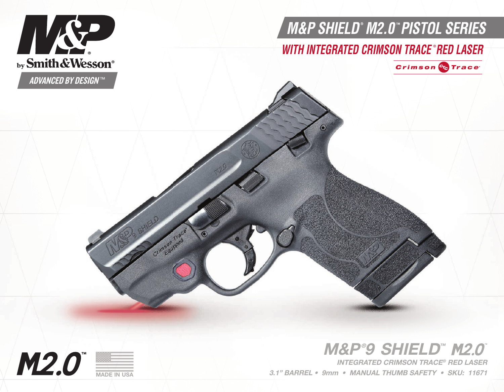

# *WITH INTEGRATED CRIMSON TRACE RED LASER* **®**

 $\odot$ 



*WITH INTEGRATED CRIMSON TRACE RED LASER* **®**

**ADVANCED BY DESIGNTM** 

by Smith & Wesson®

HK SP

# M&P®9 SHIELD™

3.1" BARREL • 9mm • MANUAL THUMB SAFETY • SKU: 11671 INTEGRATED CRIMSON TRACE® RED LASER



MADE IN USA

Crimeon Trace